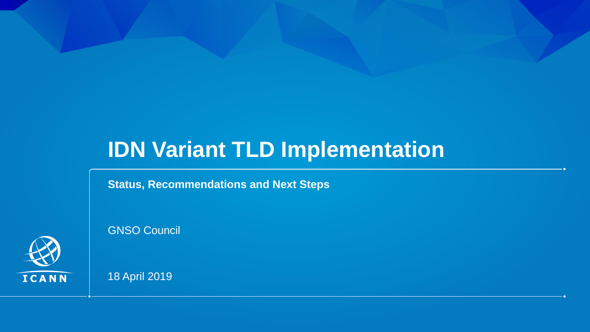# **IDN Variant TLD Implementation**

#### **Status, Recommendations and Next Steps**



GNSO Council

18 April 2019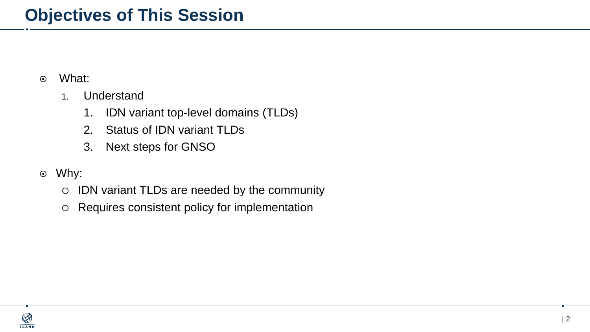- What:
	- 1. Understand
		- 1. IDN variant top-level domains (TLDs)
		- 2. Status of IDN variant TLDs
		- 3. Next steps for GNSO
- Why:
	- IDN variant TLDs are needed by the community
	- Requires consistent policy for implementation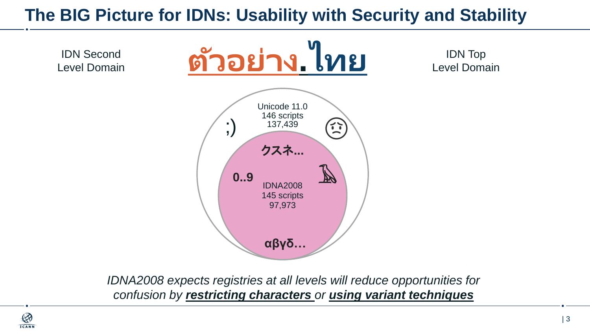## **The BIG Picture for IDNs: Usability with Security and Stability**



*IDNA2008 expects registries at all levels will reduce opportunities for confusion by restricting characters or using variant techniques*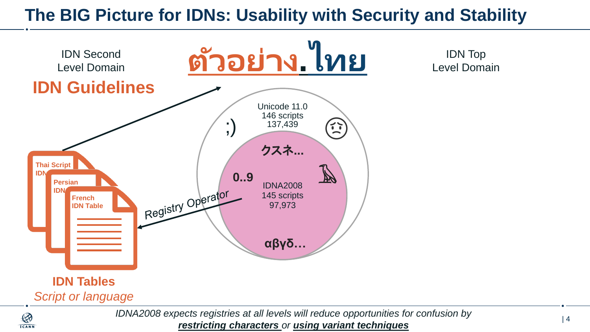## **The BIG Picture for IDNs: Usability with Security and Stability**



 $\bigotimes$ **ICANN** 

IDN Top Level Domain

*IDNA2008 expects registries at all levels will reduce opportunities for confusion by restricting characters or using variant techniques*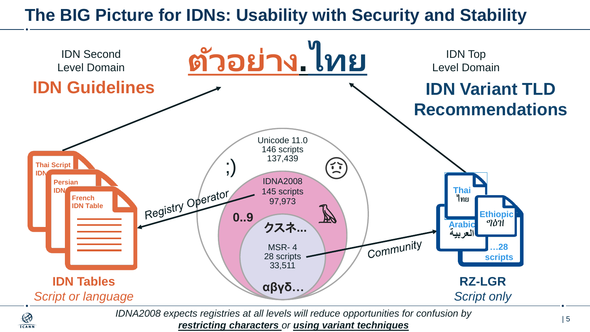## **The BIG Picture for IDNs: Usability with Security and Stability**



*IDNA2008 expects registries at all levels will reduce opportunities for confusion by restricting characters or using variant techniques*

 $\bigotimes$ **ICANN**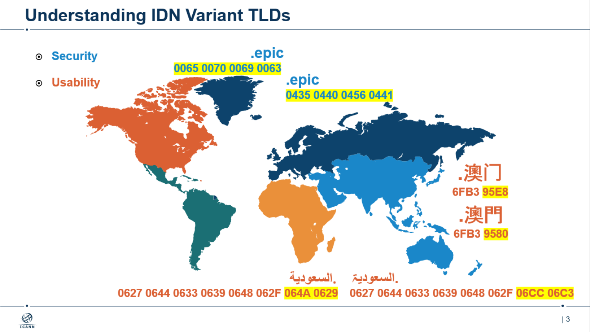## **Understanding IDN Variant TLDs**

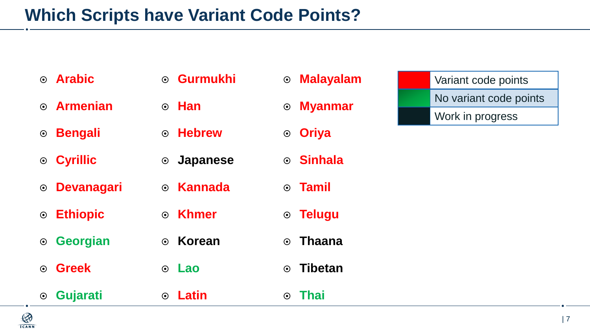## **Which Scripts have Variant Code Points?**

| ⊙ Arabic         |
|------------------|
| $\odot$ Armenian |

**Bengali**

**Cyrillic**

**Devanagari**

**Ethiopic**

**Georgian**

**Greek**

**Gurmukhi**

**Han**

**Hebrew**

**Japanese**

**Kannada**

**Khmer**

**Korean**

**Lao**

 **Gujarati Latin Thai**

 **Malayalam Myanmar**

**Oriya**

**Sinhala**

**Tamil**

**Telugu**

**Thaana**

**Tibetan** 

No variant code points Work in progress

Variant code points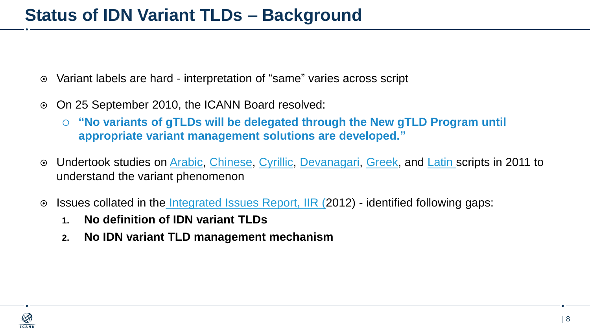- Variant labels are hard interpretation of "same" varies across script
- On 25 September 2010, the ICANN Board resolved:
	- **"No variants of gTLDs will be delegated through the New gTLD Program until appropriate variant management solutions are developed."**
- Undertook studies on [Arabic](http://archive.icann.org/en/topics/new-gtlds/arabic-vip-issues-report-07oct11-en.pdf), [Chinese](http://archive.icann.org/en/topics/new-gtlds/chinese-vip-issues-report-03oct11-en.pdf), [Cyrillic](http://archive.icann.org/en/topics/new-gtlds/cyrillic-vip-issues-report-06oct11-en.pdf), [Devanagari](http://archive.icann.org/en/topics/new-gtlds/devanagari-vip-issues-report-03oct11-en.pdf), [Greek,](http://archive.icann.org/en/topics/new-gtlds/greek-vip-issues-report-07oct11-en.pdf) and [Latin](http://archive.icann.org/en/topics/new-gtlds/latin-vip-issues-report-07oct11-en.pdf) scripts in 2011 to understand the variant phenomenon
- ⊙ Issues collated in the [Integrated Issues Report, IIR](https://www.icann.org/en/system/files/files/idn-vip-integrated-issues-final-clean-20feb12-en.pdf) (2012) identified following gaps:
	- **1. No definition of IDN variant TLDs**
	- **2. No IDN variant TLD management mechanism**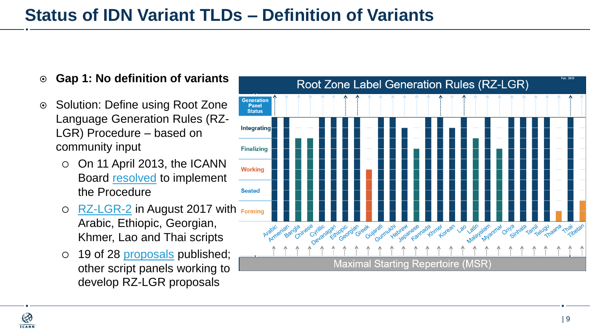- **Gap 1: No definition of variants**
- **Solution: Define using Root Zone** Language Generation Rules (RZ-LGR) Procedure – based on community input
	- $\circ$  On 11 April 2013, the ICANN Board [resolved](https://www.icann.org/resources/board-material/resolutions-2013-04-11-en#2.a) to implement the Procedure
	- O [RZ-LGR-2](https://www.icann.org/resources/pages/root-zone-lgr-2015-06-21-en) in August 2017 with Forming Arabic, Ethiopic, Georgian, Khmer, Lao and Thai scripts
	- 19 of 28 [proposals](https://www.icann.org/resources/pages/lgr-proposals-2015-12-01-en) published; other script panels working to develop RZ-LGR proposals

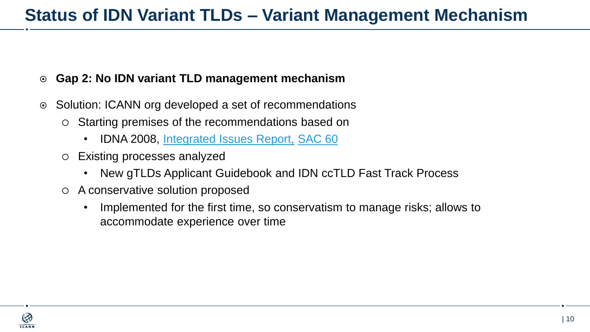#### **Gap 2: No IDN variant TLD management mechanism**

- ⊙ Solution: ICANN org developed a set of recommendations
	- Starting premises of the recommendations based on
		- IDNA 2008, [Integrated Issues Report,](https://www.icann.org/en/system/files/files/idn-vip-integrated-issues-final-clean-20feb12-en.pdf) [SAC 60](https://www.icann.org/en/system/files/files/sac-060-en.pdf)
	- Existing processes analyzed
		- New gTLDs Applicant Guidebook and IDN ccTLD Fast Track Process
	- A conservative solution proposed
		- Implemented for the first time, so conservatism to manage risks; allows to accommodate experience over time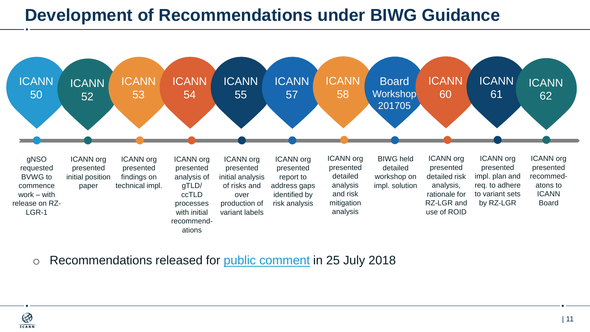## **Development of Recommendations under BIWG Guidance**



o Recommendations released for [public comment](https://www.icann.org/public-comments/managing-idn-variant-tlds-2018-07-25-en) in 25 July 2018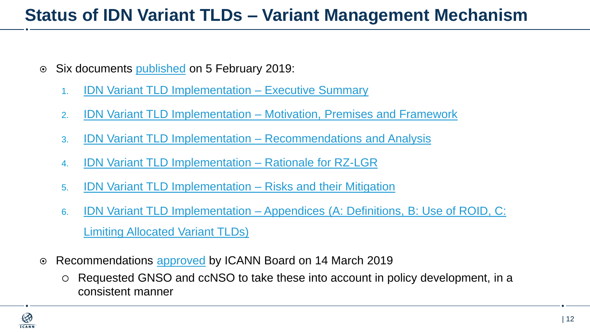## **Status of IDN Variant TLDs – Variant Management Mechanism**

- Six documents [published](https://www.icann.org/news/announcement-2019-02-05-en) on 5 February 2019:
	- 1. IDN Variant TLD Implementation [Executive Summary](https://www.icann.org/en/system/files/files/idn-variant-tld-exec-summary-25jan19-en.pdf)
	- 2. IDN Variant TLD Implementation [Motivation, Premises and Framework](https://www.icann.org/en/system/files/files/idn-variant-tld-motivation-premises-framework-25jan19-en.pdf)
	- 3. IDN Variant TLD Implementation [Recommendations and Analysis](https://www.icann.org/en/system/files/files/idn-variant-tld-recommendations-analysis-25jan19-en.pdf)
	- 4. IDN Variant TLD Implementation [Rationale for RZ-LGR](https://www.icann.org/en/system/files/files/idn-variant-tld-rationale-lgr-25jan19-en.pdf)
	- 5. IDN Variant TLD Implementation [Risks and their Mitigation](https://www.icann.org/en/system/files/files/idn-variant-tld-risks-mitigation-25jan19-en.pdf)
	- 6. IDN Variant TLD Implementation [Appendices \(A: Definitions, B: Use of ROID, C:](https://www.icann.org/en/system/files/files/idn-variant-tld-appendices-25jan19-en.pdf)  Limiting Allocated Variant TLDs)
- ⊙ Recommendations [approved](https://www.icann.org/resources/board-material/resolutions-2019-03-14-en#2.a) by ICANN Board on 14 March 2019
	- Requested GNSO and ccNSO to take these into account in policy development, in a consistent manner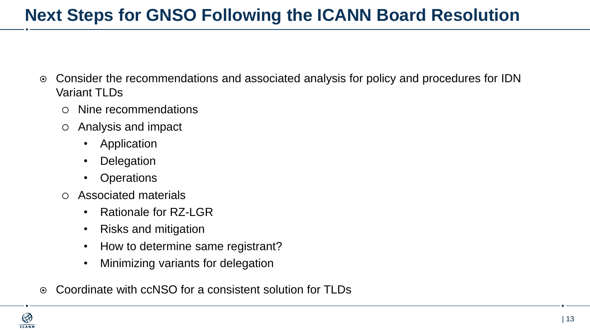## **Next Steps for GNSO Following the ICANN Board Resolution**

- Consider the recommendations and associated analysis for policy and procedures for IDN Variant TLDs
	- Nine recommendations
	- Analysis and impact
		- Application
		- **Delegation**
		- Operations
	- Associated materials
		- Rationale for RZ-LGR
		- Risks and mitigation
		- How to determine same registrant?
		- Minimizing variants for delegation
- Coordinate with ccNSO for a consistent solution for TLDs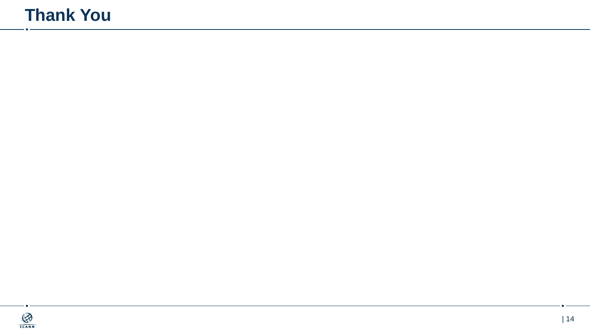## **Thank You**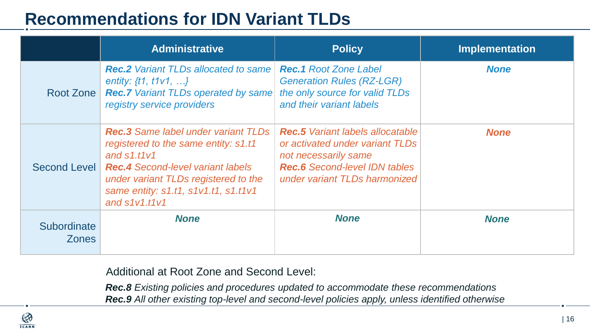## **Recommendations for IDN Variant TLDs**

|                             | <b>Administrative</b>                                                                                                                                                                                                                              | <b>Policy</b>                                                                                                                                                               | <b>Implementation</b> |
|-----------------------------|----------------------------------------------------------------------------------------------------------------------------------------------------------------------------------------------------------------------------------------------------|-----------------------------------------------------------------------------------------------------------------------------------------------------------------------------|-----------------------|
| Root Zone                   | <b>Rec.2</b> Variant TLDs allocated to same<br>entity: $\{t1, t1v1, \}$<br><b>Rec.7</b> Variant TLDs operated by same<br>registry service providers                                                                                                | <b>Rec.1</b> Root Zone Label<br><b>Generation Rules (RZ-LGR)</b><br>the only source for valid TLDs<br>and their variant labels                                              | <b>None</b>           |
| Second Level                | <b>Rec.3</b> Same label under variant TLDs<br>registered to the same entity: s1.t1<br>and $s1.t1v1$<br><b>Rec.4</b> Second-level variant labels<br>under variant TLDs registered to the<br>same entity: s1.t1, s1v1.t1, s1.t1v1<br>and $s1v1.t1v1$ | <b>Rec.5</b> Variant labels allocatable<br>or activated under variant TLDs<br>not necessarily same<br><b>Rec.6</b> Second-level IDN tables<br>under variant TLDs harmonized | <b>None</b>           |
| Subordinate<br><b>Zones</b> | <b>None</b>                                                                                                                                                                                                                                        | <b>None</b>                                                                                                                                                                 | <b>None</b>           |

Additional at Root Zone and Second Level:

*Rec.8 Existing policies and procedures updated to accommodate these recommendations Rec.9 All other existing top-level and second-level policies apply, unless identified otherwise*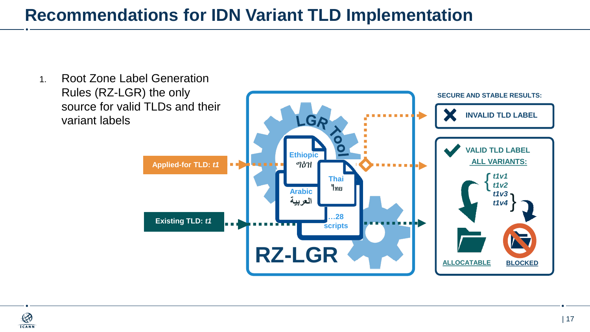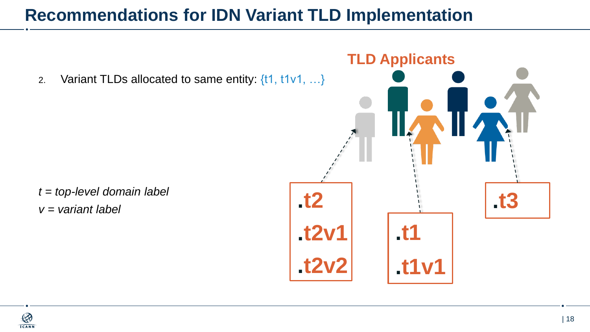2. Variant TLDs allocated to same entity:  $\{11, 11 \vee 1, ...\}$ 

*t = top-level domain label v = variant label*

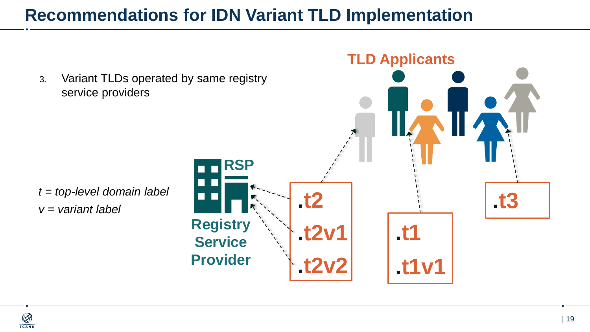3. Variant TLDs operated by same registry service providers

*t = top-level domain label v = variant label*



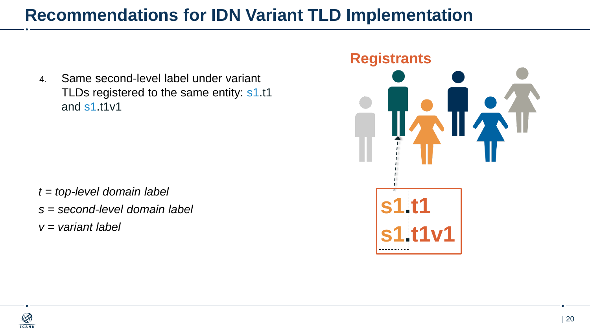4. Same second-level label under variant TLDs registered to the same entity: s1.t1 and s1.t1v1

*t = top-level domain label s = second-level domain label v = variant label*

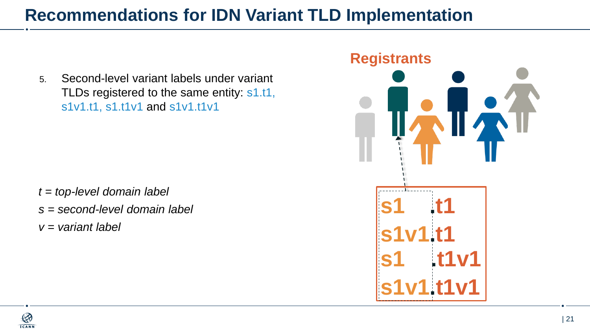5. Second-level variant labels under variant TLDs registered to the same entity: s1.t1, s1v1.t1, s1.t1v1 and s1v1.t1v1

*t = top-level domain label s = second-level domain label v = variant label*



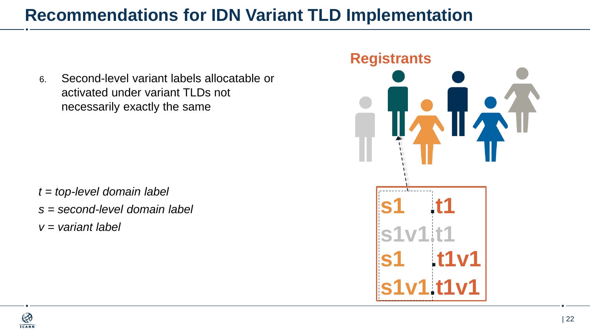6. Second-level variant labels allocatable or activated under variant TLDs not necessarily exactly the same

*t = top-level domain label s = second-level domain label v = variant label*



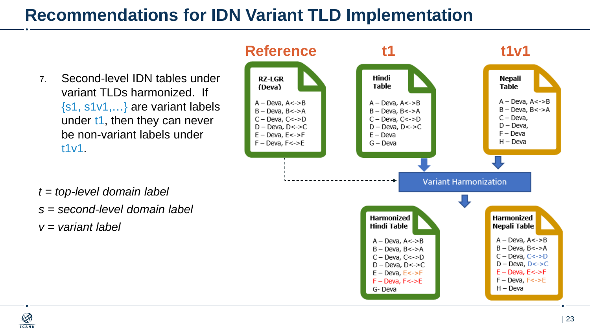7. Second-level IDN tables under variant TLDs harmonized. If {s1, s1v1,…} are variant labels under t1, then they can never be non-variant labels under t1v1.